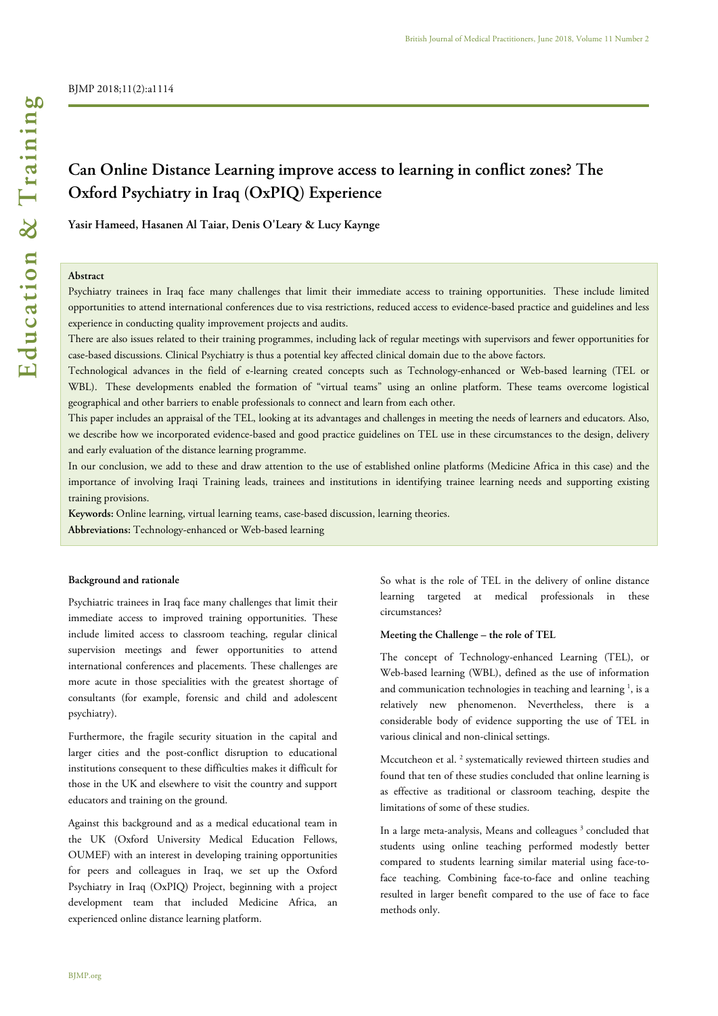# **Can Online Distance Learning improve access to learning in conflict zones? The Oxford Psychiatry in Iraq (OxPIQ) Experience**

**Yasir Hameed, Hasanen Al Taiar, Denis O'Leary & Lucy Kaynge** 

## **Abstract**

Psychiatry trainees in Iraq face many challenges that limit their immediate access to training opportunities. These include limited opportunities to attend international conferences due to visa restrictions, reduced access to evidence-based practice and guidelines and less experience in conducting quality improvement projects and audits.

There are also issues related to their training programmes, including lack of regular meetings with supervisors and fewer opportunities for case-based discussions. Clinical Psychiatry is thus a potential key affected clinical domain due to the above factors.

Technological advances in the field of e-learning created concepts such as Technology-enhanced or Web-based learning (TEL or WBL). These developments enabled the formation of "virtual teams" using an online platform. These teams overcome logistical geographical and other barriers to enable professionals to connect and learn from each other.

This paper includes an appraisal of the TEL, looking at its advantages and challenges in meeting the needs of learners and educators. Also, we describe how we incorporated evidence-based and good practice guidelines on TEL use in these circumstances to the design, delivery and early evaluation of the distance learning programme.

In our conclusion, we add to these and draw attention to the use of established online platforms (Medicine Africa in this case) and the importance of involving Iraqi Training leads, trainees and institutions in identifying trainee learning needs and supporting existing training provisions.

**Keywords:** Online learning, virtual learning teams, case-based discussion, learning theories.

**Abbreviations:** Technology-enhanced or Web-based learning

## **Background and rationale**

Psychiatric trainees in Iraq face many challenges that limit their immediate access to improved training opportunities. These include limited access to classroom teaching, regular clinical supervision meetings and fewer opportunities to attend international conferences and placements. These challenges are more acute in those specialities with the greatest shortage of consultants (for example, forensic and child and adolescent psychiatry).

Furthermore, the fragile security situation in the capital and larger cities and the post-conflict disruption to educational institutions consequent to these difficulties makes it difficult for those in the UK and elsewhere to visit the country and support educators and training on the ground.

Against this background and as a medical educational team in the UK (Oxford University Medical Education Fellows, OUMEF) with an interest in developing training opportunities for peers and colleagues in Iraq, we set up the Oxford Psychiatry in Iraq (OxPIQ) Project, beginning with a project development team that included Medicine Africa, an experienced online distance learning platform.

So what is the role of TEL in the delivery of online distance learning targeted at medical professionals in these circumstances?

## **Meeting the Challenge – the role of TEL**

The concept of Technology-enhanced Learning (TEL), or Web-based learning (WBL), defined as the use of information and communication technologies in teaching and learning  $<sup>1</sup>$ , is a</sup> relatively new phenomenon. Nevertheless, there is a considerable body of evidence supporting the use of TEL in various clinical and non-clinical settings.

Mccutcheon et al.<sup>2</sup> systematically reviewed thirteen studies and found that ten of these studies concluded that online learning is as effective as traditional or classroom teaching, despite the limitations of some of these studies.

In a large meta-analysis, Means and colleagues<sup>3</sup> concluded that students using online teaching performed modestly better compared to students learning similar material using face-toface teaching. Combining face-to-face and online teaching resulted in larger benefit compared to the use of face to face methods only.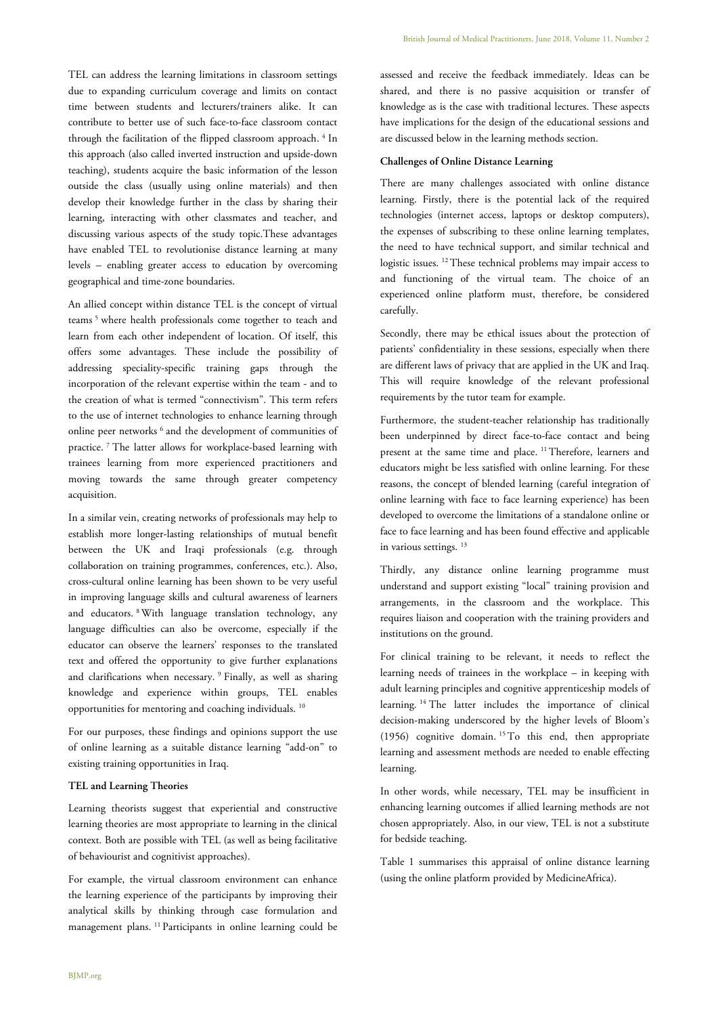TEL can address the learning limitations in classroom settings due to expanding curriculum coverage and limits on contact time between students and lecturers/trainers alike. It can contribute to better use of such face-to-face classroom contact through the facilitation of the flipped classroom approach.<sup>4</sup> In this approach (also called inverted instruction and upside-down teaching), students acquire the basic information of the lesson outside the class (usually using online materials) and then develop their knowledge further in the class by sharing their learning, interacting with other classmates and teacher, and discussing various aspects of the study topic.These advantages have enabled TEL to revolutionise distance learning at many levels – enabling greater access to education by overcoming geographical and time-zone boundaries.

An allied concept within distance TEL is the concept of virtual teams<sup>5</sup> where health professionals come together to teach and learn from each other independent of location. Of itself, this offers some advantages. These include the possibility of addressing speciality-specific training gaps through the incorporation of the relevant expertise within the team - and to the creation of what is termed "connectivism". This term refers to the use of internet technologies to enhance learning through online peer networks <sup>6</sup> and the development of communities of practice. <sup>7</sup> The latter allows for workplace-based learning with trainees learning from more experienced practitioners and moving towards the same through greater competency acquisition.

In a similar vein, creating networks of professionals may help to establish more longer-lasting relationships of mutual benefit between the UK and Iraqi professionals (e.g. through collaboration on training programmes, conferences, etc.). Also, cross-cultural online learning has been shown to be very useful in improving language skills and cultural awareness of learners and educators. <sup>8</sup>With language translation technology, any language difficulties can also be overcome, especially if the educator can observe the learners' responses to the translated text and offered the opportunity to give further explanations and clarifications when necessary. <sup>9</sup> Finally, as well as sharing knowledge and experience within groups, TEL enables opportunities for mentoring and coaching individuals. <sup>10</sup>

For our purposes, these findings and opinions support the use of online learning as a suitable distance learning "add-on" to existing training opportunities in Iraq.

## **TEL and Learning Theories**

Learning theorists suggest that experiential and constructive learning theories are most appropriate to learning in the clinical context. Both are possible with TEL (as well as being facilitative of behaviourist and cognitivist approaches).

For example, the virtual classroom environment can enhance the learning experience of the participants by improving their analytical skills by thinking through case formulation and management plans. <sup>11</sup>Participants in online learning could be

assessed and receive the feedback immediately. Ideas can be shared, and there is no passive acquisition or transfer of knowledge as is the case with traditional lectures. These aspects have implications for the design of the educational sessions and are discussed below in the learning methods section.

## **Challenges of Online Distance Learning**

There are many challenges associated with online distance learning. Firstly, there is the potential lack of the required technologies (internet access, laptops or desktop computers), the expenses of subscribing to these online learning templates, the need to have technical support, and similar technical and logistic issues. <sup>12</sup>These technical problems may impair access to and functioning of the virtual team. The choice of an experienced online platform must, therefore, be considered carefully.

Secondly, there may be ethical issues about the protection of patients' confidentiality in these sessions, especially when there are different laws of privacy that are applied in the UK and Iraq. This will require knowledge of the relevant professional requirements by the tutor team for example.

Furthermore, the student-teacher relationship has traditionally been underpinned by direct face-to-face contact and being present at the same time and place. <sup>11</sup>Therefore, learners and educators might be less satisfied with online learning. For these reasons, the concept of blended learning (careful integration of online learning with face to face learning experience) has been developed to overcome the limitations of a standalone online or face to face learning and has been found effective and applicable in various settings.<sup>13</sup>

Thirdly, any distance online learning programme must understand and support existing "local" training provision and arrangements, in the classroom and the workplace. This requires liaison and cooperation with the training providers and institutions on the ground.

For clinical training to be relevant, it needs to reflect the learning needs of trainees in the workplace – in keeping with adult learning principles and cognitive apprenticeship models of learning. <sup>14</sup> The latter includes the importance of clinical decision-making underscored by the higher levels of Bloom's (1956) cognitive domain. <sup>15</sup>To this end, then appropriate learning and assessment methods are needed to enable effecting learning.

In other words, while necessary, TEL may be insufficient in enhancing learning outcomes if allied learning methods are not chosen appropriately. Also, in our view, TEL is not a substitute for bedside teaching.

Table 1 summarises this appraisal of online distance learning (using the online platform provided by MedicineAfrica).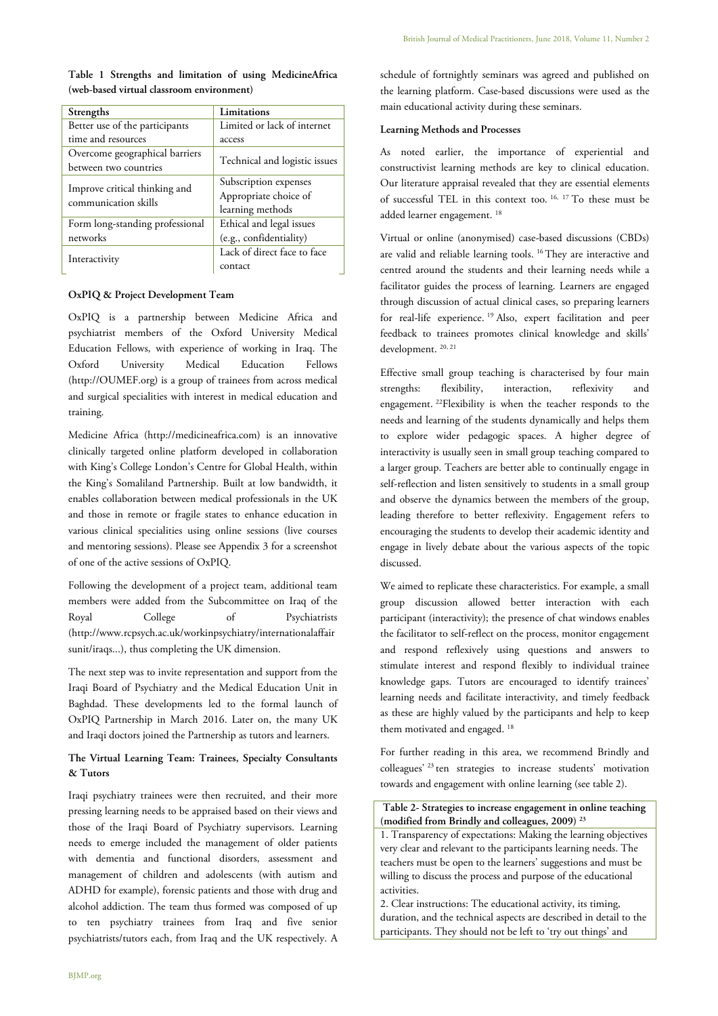| Strengths                                               | Limitations                                                        |  |
|---------------------------------------------------------|--------------------------------------------------------------------|--|
| Better use of the participants                          | Limited or lack of internet                                        |  |
| time and resources                                      | access                                                             |  |
| Overcome geographical barriers<br>between two countries | Technical and logistic issues                                      |  |
| Improve critical thinking and<br>communication skills   | Subscription expenses<br>Appropriate choice of<br>learning methods |  |
| Form long-standing professional                         | Ethical and legal issues                                           |  |
| networks                                                | (e.g., confidentiality)                                            |  |
| Interactivity                                           | Lack of direct face to face<br>contact                             |  |

## **Table 1 Strengths and limitation of using MedicineAfrica (web-based virtual classroom environment)**

## **OxPIQ & Project Development Team**

OxPIQ is a partnership between Medicine Africa and psychiatrist members of the Oxford University Medical Education Fellows, with experience of working in Iraq. The Oxford University Medical Education Fellows (http://OUMEF.org) is a group of trainees from across medical and surgical specialities with interest in medical education and training.

Medicine Africa (http://medicineafrica.com) is an innovative clinically targeted online platform developed in collaboration with King's College London's Centre for Global Health, within the King's Somaliland Partnership. Built at low bandwidth, it enables collaboration between medical professionals in the UK and those in remote or fragile states to enhance education in various clinical specialities using online sessions (live courses and mentoring sessions). Please see Appendix 3 for a screenshot of one of the active sessions of OxPIQ.

Following the development of a project team, additional team members were added from the Subcommittee on Iraq of the Royal College of Psychiatrists (http://www.rcpsych.ac.uk/workinpsychiatry/internationalaffair sunit/iraqs...), thus completing the UK dimension.

The next step was to invite representation and support from the Iraqi Board of Psychiatry and the Medical Education Unit in Baghdad. These developments led to the formal launch of OxPIQ Partnership in March 2016. Later on, the many UK and Iraqi doctors joined the Partnership as tutors and learners.

## **The Virtual Learning Team: Trainees, Specialty Consultants & Tutors**

Iraqi psychiatry trainees were then recruited, and their more pressing learning needs to be appraised based on their views and those of the Iraqi Board of Psychiatry supervisors. Learning needs to emerge included the management of older patients with dementia and functional disorders, assessment and management of children and adolescents (with autism and ADHD for example), forensic patients and those with drug and alcohol addiction. The team thus formed was composed of up to ten psychiatry trainees from Iraq and five senior psychiatrists/tutors each, from Iraq and the UK respectively. A

schedule of fortnightly seminars was agreed and published on the learning platform. Case-based discussions were used as the main educational activity during these seminars.

## **Learning Methods and Processes**

As noted earlier, the importance of experiential and constructivist learning methods are key to clinical education. Our literature appraisal revealed that they are essential elements of successful TEL in this context too. 16, 17 To these must be added learner engagement.<sup>18</sup>

Virtual or online (anonymised) case-based discussions (CBDs) are valid and reliable learning tools. <sup>16</sup>They are interactive and centred around the students and their learning needs while a facilitator guides the process of learning. Learners are engaged through discussion of actual clinical cases, so preparing learners for real-life experience. <sup>19</sup> Also, expert facilitation and peer feedback to trainees promotes clinical knowledge and skills' development.<sup>20, 21</sup>

Effective small group teaching is characterised by four main strengths: flexibility, interaction, reflexivity and engagement. <sup>22</sup>Flexibility is when the teacher responds to the needs and learning of the students dynamically and helps them to explore wider pedagogic spaces. A higher degree of interactivity is usually seen in small group teaching compared to a larger group. Teachers are better able to continually engage in self-reflection and listen sensitively to students in a small group and observe the dynamics between the members of the group, leading therefore to better reflexivity. Engagement refers to encouraging the students to develop their academic identity and engage in lively debate about the various aspects of the topic discussed.

We aimed to replicate these characteristics. For example, a small group discussion allowed better interaction with each participant (interactivity); the presence of chat windows enables the facilitator to self-reflect on the process, monitor engagement and respond reflexively using questions and answers to stimulate interest and respond flexibly to individual trainee knowledge gaps. Tutors are encouraged to identify trainees' learning needs and facilitate interactivity, and timely feedback as these are highly valued by the participants and help to keep them motivated and engaged.<sup>18</sup>

For further reading in this area, we recommend Brindly and colleagues<sup>' 23</sup> ten strategies to increase students' motivation towards and engagement with online learning (see table 2).

**Table 2- Strategies to increase engagement in online teaching (modified from Brindly and colleagues, 2009) <sup>23</sup>**

1. Transparency of expectations: Making the learning objectives very clear and relevant to the participants learning needs. The teachers must be open to the learners' suggestions and must be willing to discuss the process and purpose of the educational activities.

2. Clear instructions: The educational activity, its timing, duration, and the technical aspects are described in detail to the participants. They should not be left to 'try out things' and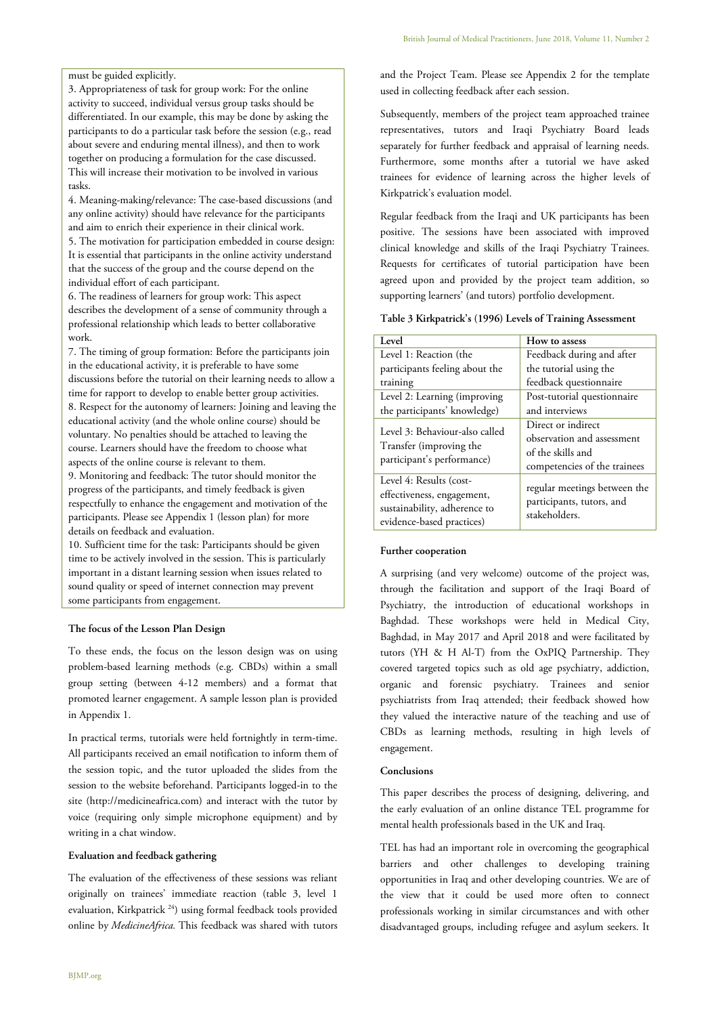must be guided explicitly.

3. Appropriateness of task for group work: For the online activity to succeed, individual versus group tasks should be differentiated. In our example, this may be done by asking the participants to do a particular task before the session (e.g., read about severe and enduring mental illness), and then to work together on producing a formulation for the case discussed. This will increase their motivation to be involved in various tasks.

4. Meaning-making/relevance: The case-based discussions (and any online activity) should have relevance for the participants and aim to enrich their experience in their clinical work.

5. The motivation for participation embedded in course design: It is essential that participants in the online activity understand that the success of the group and the course depend on the individual effort of each participant.

6. The readiness of learners for group work: This aspect describes the development of a sense of community through a professional relationship which leads to better collaborative work.

7. The timing of group formation: Before the participants join in the educational activity, it is preferable to have some discussions before the tutorial on their learning needs to allow a time for rapport to develop to enable better group activities. 8. Respect for the autonomy of learners: Joining and leaving the educational activity (and the whole online course) should be voluntary. No penalties should be attached to leaving the course. Learners should have the freedom to choose what aspects of the online course is relevant to them.

9. Monitoring and feedback: The tutor should monitor the progress of the participants, and timely feedback is given respectfully to enhance the engagement and motivation of the participants. Please see Appendix 1 (lesson plan) for more details on feedback and evaluation.

10. Sufficient time for the task: Participants should be given time to be actively involved in the session. This is particularly important in a distant learning session when issues related to sound quality or speed of internet connection may prevent some participants from engagement.

#### **The focus of the Lesson Plan Design**

To these ends, the focus on the lesson design was on using problem-based learning methods (e.g. CBDs) within a small group setting (between 4-12 members) and a format that promoted learner engagement. A sample lesson plan is provided in Appendix 1.

In practical terms, tutorials were held fortnightly in term-time. All participants received an email notification to inform them of the session topic, and the tutor uploaded the slides from the session to the website beforehand. Participants logged-in to the site (http://medicineafrica.com) and interact with the tutor by voice (requiring only simple microphone equipment) and by writing in a chat window.

#### **Evaluation and feedback gathering**

The evaluation of the effectiveness of these sessions was reliant originally on trainees' immediate reaction (table 3, level 1 evaluation, Kirkpatrick <sup>24</sup>) using formal feedback tools provided online by *MedicineAfrica.* This feedback was shared with tutors and the Project Team. Please see Appendix 2 for the template used in collecting feedback after each session.

Subsequently, members of the project team approached trainee representatives, tutors and Iraqi Psychiatry Board leads separately for further feedback and appraisal of learning needs. Furthermore, some months after a tutorial we have asked trainees for evidence of learning across the higher levels of Kirkpatrick's evaluation model.

Regular feedback from the Iraqi and UK participants has been positive. The sessions have been associated with improved clinical knowledge and skills of the Iraqi Psychiatry Trainees. Requests for certificates of tutorial participation have been agreed upon and provided by the project team addition, so supporting learners' (and tutors) portfolio development.

#### **Table 3 Kirkpatrick's (1996) Levels of Training Assessment**

| Level                                                                                                              | How to assess                                                                                         |
|--------------------------------------------------------------------------------------------------------------------|-------------------------------------------------------------------------------------------------------|
| Level 1: Reaction (the                                                                                             | Feedback during and after                                                                             |
| participants feeling about the                                                                                     | the tutorial using the                                                                                |
| training                                                                                                           | feedback questionnaire                                                                                |
| Level 2: Learning (improving)                                                                                      | Post-tutorial questionnaire                                                                           |
| the participants' knowledge)                                                                                       | and interviews                                                                                        |
| Level 3: Behaviour-also called<br>Transfer (improving the<br>participant's performance)                            | Direct or indirect<br>observation and assessment<br>of the skills and<br>competencies of the trainees |
| Level 4: Results (cost-<br>effectiveness, engagement,<br>sustainability, adherence to<br>evidence-based practices) | regular meetings between the<br>participants, tutors, and<br>stakeholders.                            |

#### **Further cooperation**

A surprising (and very welcome) outcome of the project was, through the facilitation and support of the Iraqi Board of Psychiatry, the introduction of educational workshops in Baghdad. These workshops were held in Medical City, Baghdad, in May 2017 and April 2018 and were facilitated by tutors (YH & H Al-T) from the OxPIQ Partnership. They covered targeted topics such as old age psychiatry, addiction, organic and forensic psychiatry. Trainees and senior psychiatrists from Iraq attended; their feedback showed how they valued the interactive nature of the teaching and use of CBDs as learning methods, resulting in high levels of engagement.

#### **Conclusions**

This paper describes the process of designing, delivering, and the early evaluation of an online distance TEL programme for mental health professionals based in the UK and Iraq.

TEL has had an important role in overcoming the geographical barriers and other challenges to developing training opportunities in Iraq and other developing countries. We are of the view that it could be used more often to connect professionals working in similar circumstances and with other disadvantaged groups, including refugee and asylum seekers. It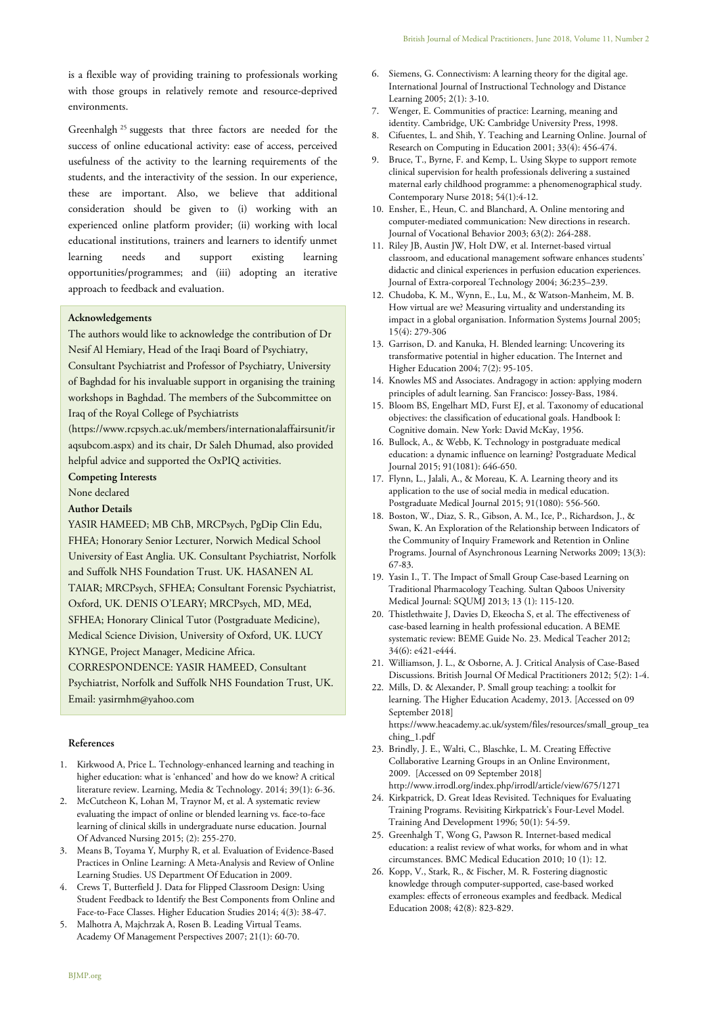is a flexible way of providing training to professionals working with those groups in relatively remote and resource-deprived environments.

Greenhalgh <sup>25</sup> suggests that three factors are needed for the success of online educational activity: ease of access, perceived usefulness of the activity to the learning requirements of the students, and the interactivity of the session. In our experience, these are important. Also, we believe that additional consideration should be given to (i) working with an experienced online platform provider; (ii) working with local educational institutions, trainers and learners to identify unmet learning needs and support existing learning opportunities/programmes; and (iii) adopting an iterative approach to feedback and evaluation.

## **Acknowledgements**

The authors would like to acknowledge the contribution of Dr Nesif Al Hemiary, Head of the Iraqi Board of Psychiatry,

Consultant Psychiatrist and Professor of Psychiatry, University of Baghdad for his invaluable support in organising the training workshops in Baghdad. The members of the Subcommittee on Iraq of the Royal College of Psychiatrists

(https://www.rcpsych.ac.uk/members/internationalaffairsunit/ir aqsubcom.aspx) and its chair, Dr Saleh Dhumad, also provided helpful advice and supported the OxPIQ activities.

**Competing Interests**

None declared

**Author Details**

YASIR HAMEED; MB ChB, MRCPsych, PgDip Clin Edu, FHEA; Honorary Senior Lecturer, Norwich Medical School University of East Anglia. UK. Consultant Psychiatrist, Norfolk and Suffolk NHS Foundation Trust. UK. HASANEN AL TAIAR; MRCPsych, SFHEA; Consultant Forensic Psychiatrist, Oxford, UK. DENIS O'LEARY; MRCPsych, MD, MEd, SFHEA; Honorary Clinical Tutor (Postgraduate Medicine), Medical Science Division, University of Oxford, UK. LUCY KYNGE, Project Manager, Medicine Africa. CORRESPONDENCE: YASIR HAMEED, Consultant Psychiatrist, Norfolk and Suffolk NHS Foundation Trust, UK. Email: yasirmhm@yahoo.com

#### **References**

- 1. Kirkwood A, Price L. Technology-enhanced learning and teaching in higher education: what is 'enhanced' and how do we know? A critical literature review. Learning, Media & Technology. 2014; 39(1): 6-36.
- 2. McCutcheon K, Lohan M, Traynor M, et al. A systematic review evaluating the impact of online or blended learning vs. face-to-face learning of clinical skills in undergraduate nurse education. Journal Of Advanced Nursing 2015; (2): 255-270.
- 3. Means B, Toyama Y, Murphy R, et al. Evaluation of Evidence-Based Practices in Online Learning: A Meta-Analysis and Review of Online Learning Studies. US Department Of Education in 2009.
- 4. Crews T, Butterfield J. Data for Flipped Classroom Design: Using Student Feedback to Identify the Best Components from Online and Face-to-Face Classes. Higher Education Studies 2014; 4(3): 38-47.
- 5. Malhotra A, Majchrzak A, Rosen B. Leading Virtual Teams. Academy Of Management Perspectives 2007; 21(1): 60-70.
- 6. Siemens, G. Connectivism: A learning theory for the digital age. International Journal of Instructional Technology and Distance Learning 2005; 2(1): 3-10.
- 7. Wenger, E. Communities of practice: Learning, meaning and identity. Cambridge, UK: Cambridge University Press, 1998.
- 8. Cifuentes, L. and Shih, Y. Teaching and Learning Online. Journal of Research on Computing in Education 2001; 33(4): 456-474.
- 9. Bruce, T., Byrne, F. and Kemp, L. Using Skype to support remote clinical supervision for health professionals delivering a sustained maternal early childhood programme: a phenomenographical study. Contemporary Nurse 2018; 54(1):4-12.
- 10. Ensher, E., Heun, C. and Blanchard, A. Online mentoring and computer-mediated communication: New directions in research. Journal of Vocational Behavior 2003; 63(2): 264-288.
- 11. Riley JB, Austin JW, Holt DW, et al. Internet-based virtual classroom, and educational management software enhances students' didactic and clinical experiences in perfusion education experiences. Journal of Extra-corporeal Technology 2004; 36:235–239.
- 12. Chudoba, K. M., Wynn, E., Lu, M., & Watson-Manheim, M. B. How virtual are we? Measuring virtuality and understanding its impact in a global organisation. Information Systems Journal 2005; 15(4): 279-306
- 13. Garrison, D. and Kanuka, H. Blended learning: Uncovering its transformative potential in higher education. The Internet and Higher Education 2004; 7(2): 95-105.
- 14. Knowles MS and Associates. Andragogy in action: applying modern principles of adult learning. San Francisco: Jossey-Bass, 1984.
- 15. Bloom BS, Engelhart MD, Furst EJ, et al. Taxonomy of educational objectives: the classification of educational goals. Handbook I: Cognitive domain. New York: David McKay, 1956.
- 16. Bullock, A., & Webb, K. Technology in postgraduate medical education: a dynamic influence on learning? Postgraduate Medical Journal 2015; 91(1081): 646-650.
- 17. Flynn, L., Jalali, A., & Moreau, K. A. Learning theory and its application to the use of social media in medical education. Postgraduate Medical Journal 2015; 91(1080): 556-560.
- 18. Boston, W., Diaz, S. R., Gibson, A. M., Ice, P., Richardson, J., & Swan, K. An Exploration of the Relationship between Indicators of the Community of Inquiry Framework and Retention in Online Programs. Journal of Asynchronous Learning Networks 2009; 13(3): 67-83.
- 19. Yasin I., T. The Impact of Small Group Case-based Learning on Traditional Pharmacology Teaching. Sultan Qaboos University Medical Journal: SQUMJ 2013; 13 (1): 115-120.
- 20. Thistlethwaite J, Davies D, Ekeocha S, et al. The effectiveness of case-based learning in health professional education. A BEME systematic review: BEME Guide No. 23. Medical Teacher 2012; 34(6): e421-e444.
- 21. Williamson, J. L., & Osborne, A. J. Critical Analysis of Case-Based Discussions. British Journal Of Medical Practitioners 2012; 5(2): 1-4.
- 22. Mills, D. & Alexander, P. Small group teaching: a toolkit for learning. The Higher Education Academy, 2013. [Accessed on 09 September 2018] https://www.heacademy.ac.uk/system/files/resources/small\_group\_tea ching\_1.pdf
- 23. Brindly, J. E., Walti, C., Blaschke, L. M. Creating Effective Collaborative Learning Groups in an Online Environment, 2009. [Accessed on 09 September 2018] http://www.irrodl.org/index.php/irrodl/article/view/675/1271
- 24. Kirkpatrick, D. Great Ideas Revisited. Techniques for Evaluating Training Programs. Revisiting Kirkpatrick's Four-Level Model. Training And Development 1996; 50(1): 54-59.
- 25. Greenhalgh T, Wong G, Pawson R. Internet-based medical education: a realist review of what works, for whom and in what circumstances. BMC Medical Education 2010; 10 (1): 12.
- 26. Kopp, V., Stark, R., & Fischer, M. R. Fostering diagnostic knowledge through computer-supported, case-based worked examples: effects of erroneous examples and feedback. Medical Education 2008; 42(8): 823-829.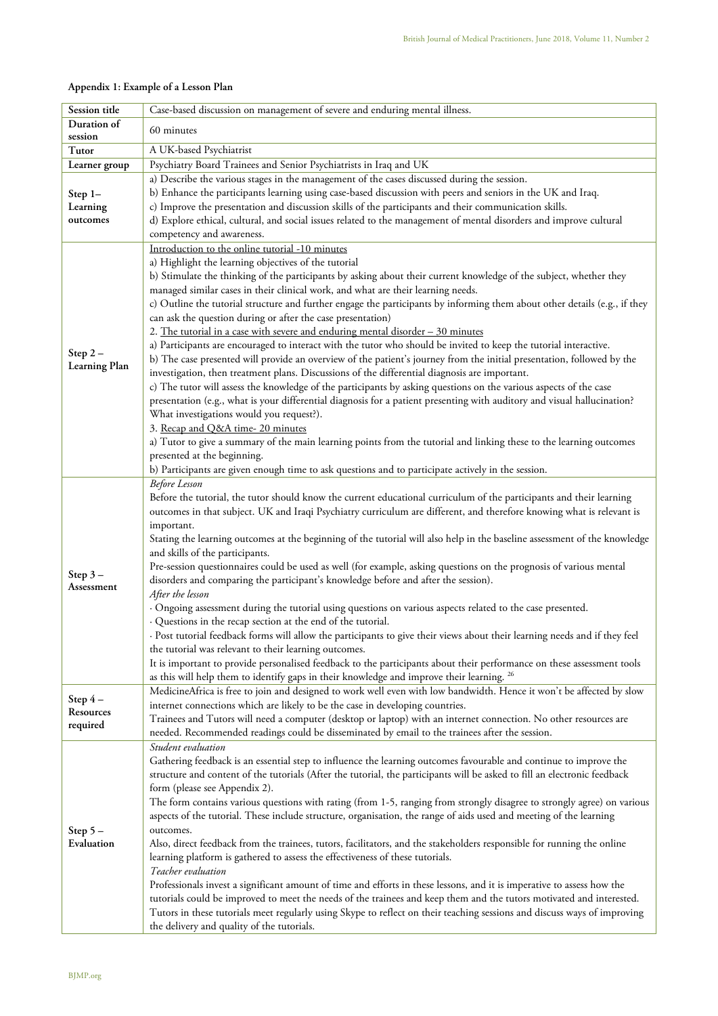| Appendix 1: Example of a Lesson Plan |  |
|--------------------------------------|--|
|--------------------------------------|--|

| Session title           | Case-based discussion on management of severe and enduring mental illness.                                                                                                                                                   |  |
|-------------------------|------------------------------------------------------------------------------------------------------------------------------------------------------------------------------------------------------------------------------|--|
| Duration of             |                                                                                                                                                                                                                              |  |
| session                 | 60 minutes                                                                                                                                                                                                                   |  |
| Tutor                   | A UK-based Psychiatrist                                                                                                                                                                                                      |  |
| Learner group           | Psychiatry Board Trainees and Senior Psychiatrists in Iraq and UK                                                                                                                                                            |  |
|                         | a) Describe the various stages in the management of the cases discussed during the session.                                                                                                                                  |  |
| Step 1-                 | b) Enhance the participants learning using case-based discussion with peers and seniors in the UK and Iraq.                                                                                                                  |  |
| Learning                | c) Improve the presentation and discussion skills of the participants and their communication skills.                                                                                                                        |  |
| outcomes                | d) Explore ethical, cultural, and social issues related to the management of mental disorders and improve cultural                                                                                                           |  |
|                         | competency and awareness.                                                                                                                                                                                                    |  |
|                         | Introduction to the online tutorial -10 minutes                                                                                                                                                                              |  |
|                         | a) Highlight the learning objectives of the tutorial                                                                                                                                                                         |  |
|                         | b) Stimulate the thinking of the participants by asking about their current knowledge of the subject, whether they                                                                                                           |  |
|                         | managed similar cases in their clinical work, and what are their learning needs.                                                                                                                                             |  |
|                         | c) Outline the tutorial structure and further engage the participants by informing them about other details (e.g., if they                                                                                                   |  |
|                         | can ask the question during or after the case presentation)                                                                                                                                                                  |  |
|                         | 2. The tutorial in a case with severe and enduring mental disorder - 30 minutes                                                                                                                                              |  |
|                         | a) Participants are encouraged to interact with the tutor who should be invited to keep the tutorial interactive.                                                                                                            |  |
| Step $2-$               | b) The case presented will provide an overview of the patient's journey from the initial presentation, followed by the                                                                                                       |  |
| Learning Plan           | investigation, then treatment plans. Discussions of the differential diagnosis are important.                                                                                                                                |  |
|                         | c) The tutor will assess the knowledge of the participants by asking questions on the various aspects of the case                                                                                                            |  |
|                         | presentation (e.g., what is your differential diagnosis for a patient presenting with auditory and visual hallucination?                                                                                                     |  |
|                         | What investigations would you request?).                                                                                                                                                                                     |  |
|                         | 3. Recap and Q&A time- 20 minutes                                                                                                                                                                                            |  |
|                         | a) Tutor to give a summary of the main learning points from the tutorial and linking these to the learning outcomes                                                                                                          |  |
|                         | presented at the beginning.                                                                                                                                                                                                  |  |
|                         | b) Participants are given enough time to ask questions and to participate actively in the session.                                                                                                                           |  |
|                         | <b>Before</b> Lesson                                                                                                                                                                                                         |  |
|                         | Before the tutorial, the tutor should know the current educational curriculum of the participants and their learning                                                                                                         |  |
|                         | outcomes in that subject. UK and Iraqi Psychiatry curriculum are different, and therefore knowing what is relevant is                                                                                                        |  |
|                         | important.                                                                                                                                                                                                                   |  |
|                         | Stating the learning outcomes at the beginning of the tutorial will also help in the baseline assessment of the knowledge                                                                                                    |  |
|                         | and skills of the participants.                                                                                                                                                                                              |  |
| Step $3-$               | Pre-session questionnaires could be used as well (for example, asking questions on the prognosis of various mental                                                                                                           |  |
| Assessment              | disorders and comparing the participant's knowledge before and after the session).                                                                                                                                           |  |
|                         | After the lesson                                                                                                                                                                                                             |  |
|                         | · Ongoing assessment during the tutorial using questions on various aspects related to the case presented.                                                                                                                   |  |
|                         | · Questions in the recap section at the end of the tutorial.                                                                                                                                                                 |  |
|                         | · Post tutorial feedback forms will allow the participants to give their views about their learning needs and if they feel                                                                                                   |  |
|                         | the tutorial was relevant to their learning outcomes.                                                                                                                                                                        |  |
|                         | It is important to provide personalised feedback to the participants about their performance on these assessment tools                                                                                                       |  |
|                         | as this will help them to identify gaps in their knowledge and improve their learning. <sup>26</sup><br>MedicineAfrica is free to join and designed to work well even with low bandwidth. Hence it won't be affected by slow |  |
| Step $4-$<br>Resources  | internet connections which are likely to be the case in developing countries.                                                                                                                                                |  |
|                         | Trainees and Tutors will need a computer (desktop or laptop) with an internet connection. No other resources are                                                                                                             |  |
| required                | needed. Recommended readings could be disseminated by email to the trainees after the session.                                                                                                                               |  |
|                         | Student evaluation                                                                                                                                                                                                           |  |
| Step $5-$<br>Evaluation | Gathering feedback is an essential step to influence the learning outcomes favourable and continue to improve the                                                                                                            |  |
|                         | structure and content of the tutorials (After the tutorial, the participants will be asked to fill an electronic feedback                                                                                                    |  |
|                         | form (please see Appendix 2).                                                                                                                                                                                                |  |
|                         | The form contains various questions with rating (from 1-5, ranging from strongly disagree to strongly agree) on various                                                                                                      |  |
|                         | aspects of the tutorial. These include structure, organisation, the range of aids used and meeting of the learning                                                                                                           |  |
|                         | outcomes.                                                                                                                                                                                                                    |  |
|                         | Also, direct feedback from the trainees, tutors, facilitators, and the stakeholders responsible for running the online                                                                                                       |  |
|                         | learning platform is gathered to assess the effectiveness of these tutorials.                                                                                                                                                |  |
|                         | Teacher evaluation                                                                                                                                                                                                           |  |
|                         | Professionals invest a significant amount of time and efforts in these lessons, and it is imperative to assess how the                                                                                                       |  |
|                         | tutorials could be improved to meet the needs of the trainees and keep them and the tutors motivated and interested.                                                                                                         |  |
|                         | Tutors in these tutorials meet regularly using Skype to reflect on their teaching sessions and discuss ways of improving                                                                                                     |  |
|                         | the delivery and quality of the tutorials.                                                                                                                                                                                   |  |